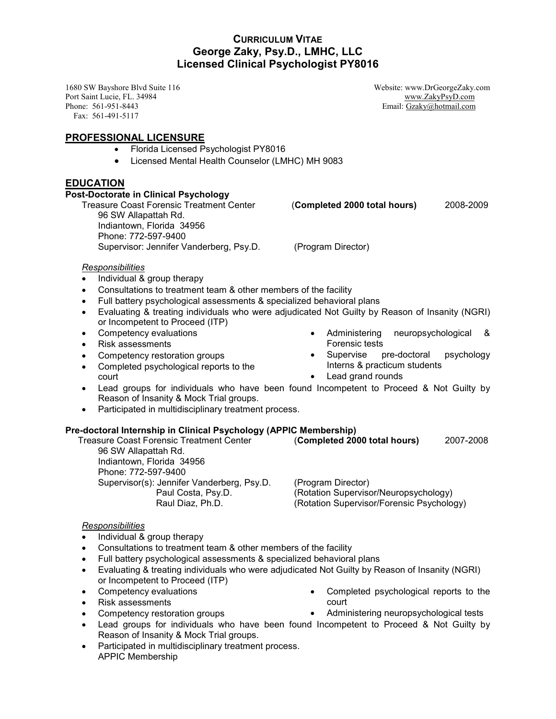# **CURRICULUM VITAE George Zaky, Psy.D., LMHC, LLC Licensed Clinical Psychologist PY8016**

Port Saint Lucie, FL. 34984<br>Phone: 561-951-8443 Fax: 561-491-5117

## **PROFESSIONAL LICENSURE**

- Florida Licensed Psychologist PY8016
- Licensed Mental Health Counselor (LMHC) MH 9083

# **EDUCATION**

#### **Post-Doctorate in Clinical Psychology** Treasure Coast Forensic Treatment Center (**Completed 2000 total hours)** 2008-2009 96 SW Allapattah Rd. Indiantown, Florida 34956 Phone: 772-597-9400 Supervisor: Jennifer Vanderberg, Psy.D. (Program Director) *Responsibilities* • Individual & group therapy • Consultations to treatment team & other members of the facility • Full battery psychological assessments & specialized behavioral plans • Evaluating & treating individuals who were adjudicated Not Guilty by Reason of Insanity (NGRI) or Incompetent to Proceed (ITP) • Competency evaluations • Risk assessments • Competency restoration groups • Completed psychological reports to the court • Administering neuropsychological & Forensic tests Supervise pre-doctoral psychology Interns & practicum students Lead grand rounds • Lead groups for individuals who have been found Incompetent to Proceed & Not Guilty by Reason of Insanity & Mock Trial groups. Participated in multidisciplinary treatment process. **Pre-doctoral Internship in Clinical Psychology (APPIC Membership)**

 Treasure Coast Forensic Treatment Center (**Completed 2000 total hours)** 2007-2008 96 SW Allapattah Rd. Indiantown, Florida 34956 Phone: 772-597-9400 Supervisor(s): Jennifer Vanderberg, Psy.D. (Program Director) Paul Costa, Psy.D. (Rotation Supervisor/Neuropsychology)<br>
Raul Diaz. Ph.D. (Rotation Supervisor/Forensic Psycholo (Rotation Supervisor/Forensic Psychology)

### *Responsibilities*

- Individual & group therapy
- Consultations to treatment team & other members of the facility
- Full battery psychological assessments & specialized behavioral plans
- Evaluating & treating individuals who were adjudicated Not Guilty by Reason of Insanity (NGRI) or Incompetent to Proceed (ITP)
- Competency evaluations
- Risk assessments
- Competency restoration groups
- Completed psychological reports to the court
- Administering neuropsychological tests
- Lead groups for individuals who have been found Incompetent to Proceed & Not Guilty by Reason of Insanity & Mock Trial groups.
- Participated in multidisciplinary treatment process. APPIC Membership

1680 SW Bayshore Blvd Suite 116<br>
Port Saint Lucie, FL. 34984<br>
Website: www.ZakyPsyD.com<br>
www.ZakyPsyD.com Email: [Gzaky@hotmail.com](mailto:Gzaky@hotmail.com)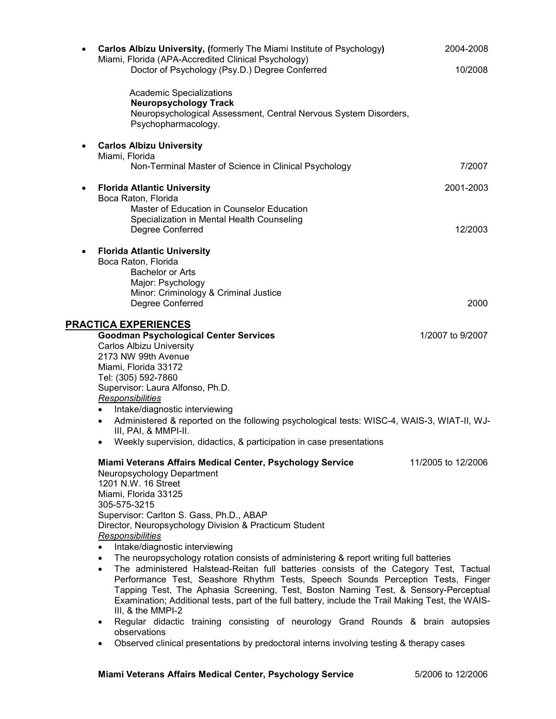|                             | Carlos Albizu University, (formerly The Miami Institute of Psychology)<br>Miami, Florida (APA-Accredited Clinical Psychology)<br>Doctor of Psychology (Psy.D.) Degree Conferred                                                                                                                                                                                                                         | 2004-2008          |
|-----------------------------|---------------------------------------------------------------------------------------------------------------------------------------------------------------------------------------------------------------------------------------------------------------------------------------------------------------------------------------------------------------------------------------------------------|--------------------|
|                             |                                                                                                                                                                                                                                                                                                                                                                                                         | 10/2008            |
|                             | <b>Academic Specializations</b><br><b>Neuropsychology Track</b><br>Neuropsychological Assessment, Central Nervous System Disorders,<br>Psychopharmacology.                                                                                                                                                                                                                                              |                    |
|                             | <b>Carlos Albizu University</b><br>Miami, Florida                                                                                                                                                                                                                                                                                                                                                       |                    |
|                             | Non-Terminal Master of Science in Clinical Psychology                                                                                                                                                                                                                                                                                                                                                   | 7/2007             |
| ٠                           | <b>Florida Atlantic University</b>                                                                                                                                                                                                                                                                                                                                                                      | 2001-2003          |
|                             | Boca Raton, Florida<br>Master of Education in Counselor Education                                                                                                                                                                                                                                                                                                                                       |                    |
|                             | Specialization in Mental Health Counseling<br>Degree Conferred                                                                                                                                                                                                                                                                                                                                          | 12/2003            |
|                             | <b>Florida Atlantic University</b>                                                                                                                                                                                                                                                                                                                                                                      |                    |
|                             | Boca Raton, Florida                                                                                                                                                                                                                                                                                                                                                                                     |                    |
|                             | <b>Bachelor or Arts</b><br>Major: Psychology                                                                                                                                                                                                                                                                                                                                                            |                    |
|                             | Minor: Criminology & Criminal Justice                                                                                                                                                                                                                                                                                                                                                                   |                    |
|                             | Degree Conferred                                                                                                                                                                                                                                                                                                                                                                                        | 2000               |
| <b>PRACTICA EXPERIENCES</b> |                                                                                                                                                                                                                                                                                                                                                                                                         |                    |
|                             | <b>Goodman Psychological Center Services</b>                                                                                                                                                                                                                                                                                                                                                            | 1/2007 to 9/2007   |
|                             | <b>Carlos Albizu University</b><br>2173 NW 99th Avenue                                                                                                                                                                                                                                                                                                                                                  |                    |
|                             | Miami, Florida 33172                                                                                                                                                                                                                                                                                                                                                                                    |                    |
|                             | Tel: (305) 592-7860                                                                                                                                                                                                                                                                                                                                                                                     |                    |
|                             | Supervisor: Laura Alfonso, Ph.D.<br><b>Responsibilities</b>                                                                                                                                                                                                                                                                                                                                             |                    |
|                             | Intake/diagnostic interviewing<br>$\bullet$                                                                                                                                                                                                                                                                                                                                                             |                    |
|                             | Administered & reported on the following psychological tests: WISC-4, WAIS-3, WIAT-II, WJ-<br>$\bullet$<br>III, PAI, & MMPI-II.                                                                                                                                                                                                                                                                         |                    |
|                             | Weekly supervision, didactics, & participation in case presentations                                                                                                                                                                                                                                                                                                                                    |                    |
|                             | Miami Veterans Affairs Medical Center, Psychology Service<br>Neuropsychology Department<br>1201 N.W. 16 Street                                                                                                                                                                                                                                                                                          | 11/2005 to 12/2006 |
|                             | Miami, Florida 33125<br>305-575-3215                                                                                                                                                                                                                                                                                                                                                                    |                    |
|                             | Supervisor: Carlton S. Gass, Ph.D., ABAP                                                                                                                                                                                                                                                                                                                                                                |                    |
|                             | Director, Neuropsychology Division & Practicum Student<br><b>Responsibilities</b>                                                                                                                                                                                                                                                                                                                       |                    |
|                             | Intake/diagnostic interviewing<br>$\bullet$                                                                                                                                                                                                                                                                                                                                                             |                    |
|                             | The neuropsychology rotation consists of administering & report writing full batteries<br>$\bullet$                                                                                                                                                                                                                                                                                                     |                    |
|                             | The administered Halstead-Reitan full batteries consists of the Category Test, Tactual<br>$\bullet$<br>Performance Test, Seashore Rhythm Tests, Speech Sounds Perception Tests, Finger<br>Tapping Test, The Aphasia Screening, Test, Boston Naming Test, & Sensory-Perceptual<br>Examination; Additional tests, part of the full battery, include the Trail Making Test, the WAIS-<br>III, & the MMPI-2 |                    |
|                             | Regular didactic training consisting of neurology Grand Rounds & brain autopsies<br>observations                                                                                                                                                                                                                                                                                                        |                    |

• Observed clinical presentations by predoctoral interns involving testing & therapy cases

# **Miami Veterans Affairs Medical Center, Psychology Service** 5/2006 to 12/2006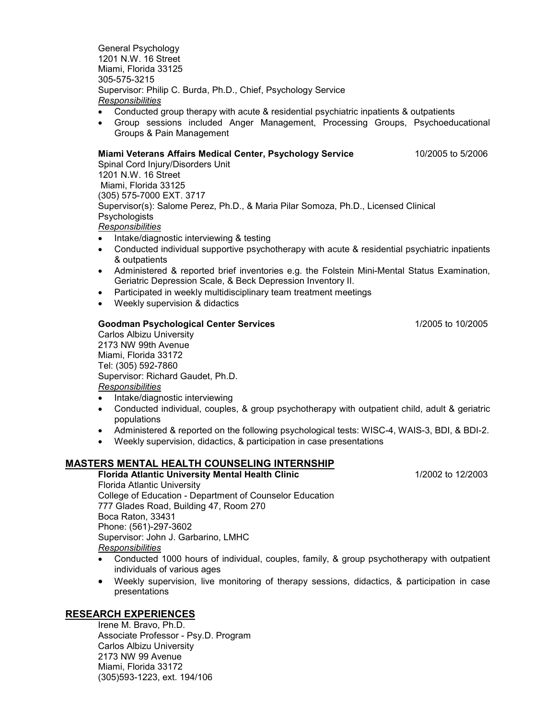General Psychology 1201 N.W. 16 Street Miami, Florida 33125 305-575-3215 Supervisor: Philip C. Burda, Ph.D., Chief, Psychology Service *Responsibilities*

- Conducted group therapy with acute & residential psychiatric inpatients & outpatients
- Group sessions included Anger Management, Processing Groups, Psychoeducational Groups & Pain Management

#### **Miami Veterans Affairs Medical Center, Psychology Service** 10/2005 to 5/2006

Spinal Cord Injury/Disorders Unit 1201 N.W. 16 Street Miami, Florida 33125 (305) 575-7000 EXT. 3717 Supervisor(s): Salome Perez, Ph.D., & Maria Pilar Somoza, Ph.D., Licensed Clinical **Psychologists** *Responsibilities*

- Intake/diagnostic interviewing & testing
- Conducted individual supportive psychotherapy with acute & residential psychiatric inpatients & outpatients
- Administered & reported brief inventories e.g. the Folstein Mini-Mental Status Examination, Geriatric Depression Scale, & Beck Depression Inventory II.
- Participated in weekly multidisciplinary team treatment meetings
- Weekly supervision & didactics

#### **Goodman Psychological Center Services** 1/2005 to 10/2005

 Carlos Albizu University 2173 NW 99th Avenue Miami, Florida 33172 Tel: (305) 592-7860 Supervisor: Richard Gaudet, Ph.D. *Responsibilities*

- Intake/diagnostic interviewing
- Conducted individual, couples, & group psychotherapy with outpatient child, adult & geriatric populations
- Administered & reported on the following psychological tests: WISC-4, WAIS-3, BDI, & BDI-2.
- Weekly supervision, didactics, & participation in case presentations

### **MASTERS MENTAL HEALTH COUNSELING INTERNSHIP**

 **Florida Atlantic University Mental Health Clinic** 1/2002 to 12/2003 Florida Atlantic University College of Education - Department of Counselor Education 777 Glades Road, Building 47, Room 270 Boca Raton, 33431 Phone: (561)-297-3602 Supervisor: John J. Garbarino, LMHC *Responsibilities*

- Conducted 1000 hours of individual, couples, family, & group psychotherapy with outpatient individuals of various ages
- Weekly supervision, live monitoring of therapy sessions, didactics, & participation in case presentations

#### **RESEARCH EXPERIENCES**

 Irene M. Bravo, Ph.D. Associate Professor - Psy.D. Program Carlos Albizu University 2173 NW 99 Avenue Miami, Florida 33172 (305)593-1223, ext. 194/106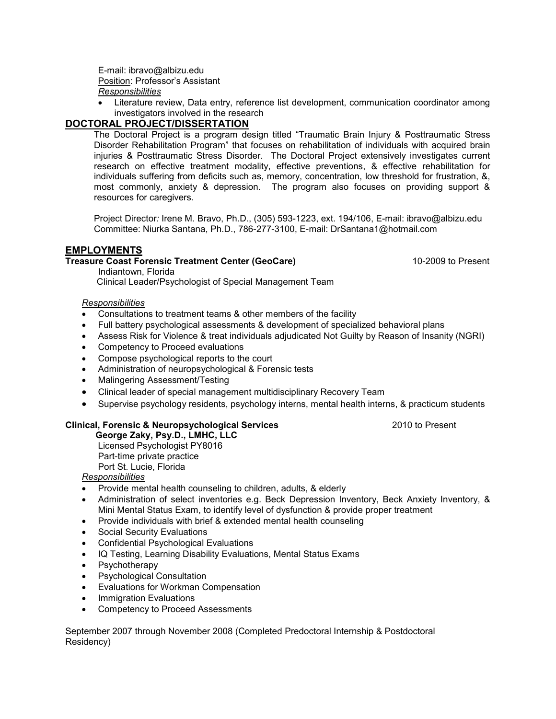E-mail: ibravo@albizu.edu Position: Professor's Assistant *Responsibilities* 

• Literature review, Data entry, reference list development, communication coordinator among investigators involved in the research

# **DOCTORAL PROJECT/DISSERTATION**

The Doctoral Project is a program design titled "Traumatic Brain Injury & Posttraumatic Stress Disorder Rehabilitation Program" that focuses on rehabilitation of individuals with acquired brain injuries & Posttraumatic Stress Disorder. The Doctoral Project extensively investigates current research on effective treatment modality, effective preventions, & effective rehabilitation for individuals suffering from deficits such as, memory, concentration, low threshold for frustration, &, most commonly, anxiety & depression. The program also focuses on providing support & resources for caregivers.

Project Director*:* Irene M. Bravo, Ph.D., (305) 593-1223, ext. 194/106, E-mail: ibravo@albizu.edu Committee: Niurka Santana, Ph.D., 786-277-3100, E-mail: DrSantana1@hotmail.com

### **EMPLOYMENTS**

### **Treasure Coast Forensic Treatment Center (GeoCare)** 10-2009 to Present

Indiantown, Florida

Clinical Leader/Psychologist of Special Management Team

#### *Responsibilities*

- Consultations to treatment teams & other members of the facility
- Full battery psychological assessments & development of specialized behavioral plans
- Assess Risk for Violence & treat individuals adjudicated Not Guilty by Reason of Insanity (NGRI)
- Competency to Proceed evaluations
- Compose psychological reports to the court
- Administration of neuropsychological & Forensic tests
- Malingering Assessment/Testing
- Clinical leader of special management multidisciplinary Recovery Team
- Supervise psychology residents, psychology interns, mental health interns, & practicum students

# **Clinical, Forensic & Neuropsychological Services**2010 to Present

 **George Zaky, Psy.D., LMHC, LLC**  Licensed Psychologist PY8016 Part-time private practice Port St. Lucie, Florida

#### *Responsibilities*

- Provide mental health counseling to children, adults, & elderly
- Administration of select inventories e.g. Beck Depression Inventory, Beck Anxiety Inventory, & Mini Mental Status Exam, to identify level of dysfunction & provide proper treatment
- Provide individuals with brief & extended mental health counseling
- Social Security Evaluations
- Confidential Psychological Evaluations
- IQ Testing, Learning Disability Evaluations, Mental Status Exams
- Psychotherapy
- Psychological Consultation
- Evaluations for Workman Compensation
- Immigration Evaluations
- Competency to Proceed Assessments

September 2007 through November 2008 (Completed Predoctoral Internship & Postdoctoral Residency)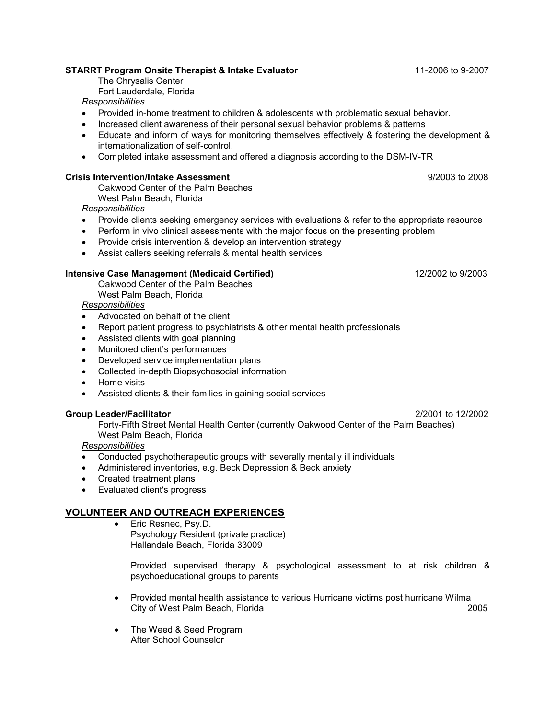### **STARRT Program Onsite Therapist & Intake Evaluator** 11-2006 to 9-2007

 The Chrysalis Center Fort Lauderdale, Florida

# *Responsibilities*

- Provided in-home treatment to children & adolescents with problematic sexual behavior.
- Increased client awareness of their personal sexual behavior problems & patterns
- Educate and inform of ways for monitoring themselves effectively & fostering the development & internationalization of self-control.
- Completed intake assessment and offered a diagnosis according to the DSM-IV-TR

### **Crisis Intervention/Intake Assessment** 9/2003 to 2008

Oakwood Center of the Palm Beaches West Palm Beach, Florida

*Responsibilities*

- Provide clients seeking emergency services with evaluations & refer to the appropriate resource
- Perform in vivo clinical assessments with the major focus on the presenting problem
- Provide crisis intervention & develop an intervention strategy
- Assist callers seeking referrals & mental health services

#### **Intensive Case Management (Medicaid Certified)** 12/2002 to 9/2003

Oakwood Center of the Palm Beaches West Palm Beach, Florida

# *Responsibilities*

- Advocated on behalf of the client
- Report patient progress to psychiatrists & other mental health professionals
- Assisted clients with goal planning
- Monitored client's performances
- Developed service implementation plans
- Collected in-depth Biopsychosocial information
- Home visits
- Assisted clients & their families in gaining social services

### **Group Leader/Facilitator** 2/2001 to 12/2002

Forty-Fifth Street Mental Health Center (currently Oakwood Center of the Palm Beaches) West Palm Beach, Florida

*Responsibilities*

- Conducted psychotherapeutic groups with severally mentally ill individuals
- Administered inventories, e.g. Beck Depression & Beck anxiety
- Created treatment plans
- Evaluated client's progress

## **VOLUNTEER AND OUTREACH EXPERIENCES**

• Eric Resnec, Psy.D. Psychology Resident (private practice) Hallandale Beach, Florida 33009

Provided supervised therapy & psychological assessment to at risk children & psychoeducational groups to parents

- Provided mental health assistance to various Hurricane victims post hurricane Wilma City of West Palm Beach, Florida 2005
- The Weed & Seed Program After School Counselor